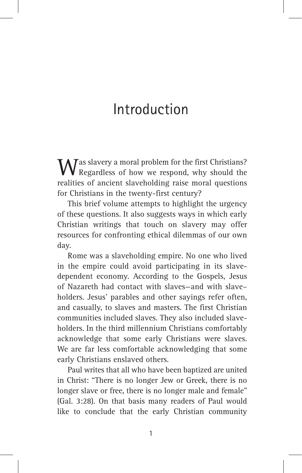## Introduction

Was slavery a moral problem for the first Christians?<br>Regardless of how we respond, why should the realities of ancient slaveholding raise moral questions for Christians in the twenty-first century?

This brief volume attempts to highlight the urgency of these questions. It also suggests ways in which early Christian writings that touch on slavery may offer resources for confronting ethical dilemmas of our own day.

Rome was a slaveholding empire. No one who lived in the empire could avoid participating in its slavedependent economy. According to the Gospels, Jesus of Nazareth had contact with slaves—and with slave– holders. Jesus' parables and other sayings refer often, and casually, to slaves and masters. The first Christian communities included slaves. They also included slaveholders. In the third millennium Christians comfortably acknowledge that some early Christians were slaves. We are far less comfortable acknowledging that some early Christians enslaved others.

Paul writes that all who have been baptized are united in Christ: "There is no longer Jew or Greek, there is no longer slave or free, there is no longer male and female" (Gal. 3:28). On that basis many readers of Paul would like to conclude that the early Christian community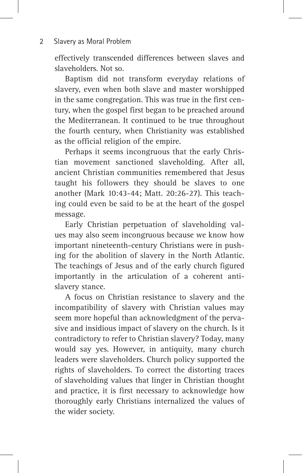effectively transcended differences between slaves and slaveholders. Not so.

Baptism did not transform everyday relations of slavery, even when both slave and master worshipped in the same congregation. This was true in the first century, when the gospel first began to be preached around the Mediterranean. It continued to be true throughout the fourth century, when Christianity was established as the official religion of the empire.

Perhaps it seems incongruous that the early Christian movement sanctioned slaveholding. After all, ancient Christian communities remembered that Jesus taught his followers they should be slaves to one another (Mark 10:43-44; Matt. 20:26-27). This teaching could even be said to be at the heart of the gospel message.

Early Christian perpetuation of slaveholding values may also seem incongruous because we know how important nineteenth-century Christians were in pushing for the abolition of slavery in the North Atlantic. The teachings of Jesus and of the early church figured importantly in the articulation of a coherent antislavery stance.

A focus on Christian resistance to slavery and the incompatibility of slavery with Christian values may seem more hopeful than acknowledgment of the pervasive and insidious impact of slavery on the church. Is it contradictory to refer to Christian slavery? Today, many would say yes. However, in antiquity, many church leaders were slaveholders. Church policy supported the rights of slaveholders. To correct the distorting traces of slaveholding values that linger in Christian thought and practice, it is first necessary to acknowledge how thoroughly early Christians internalized the values of the wider society.